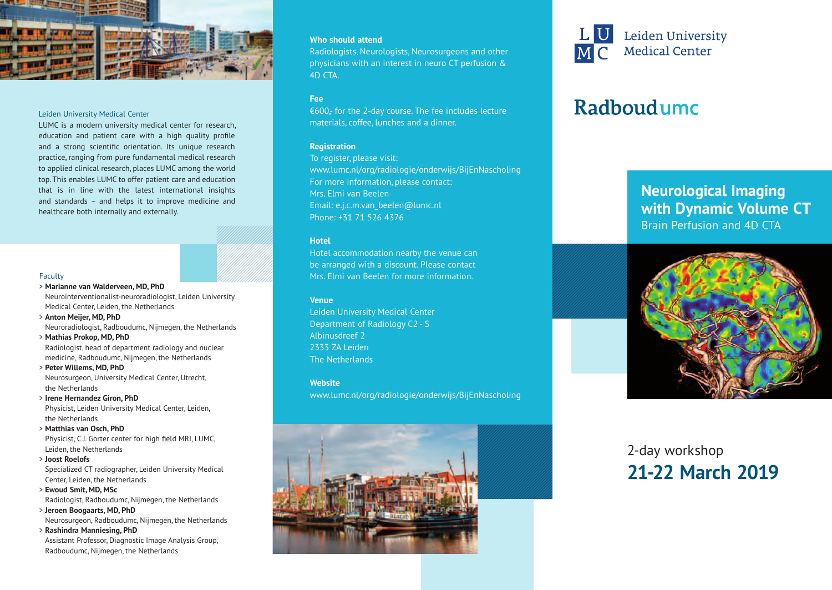

#### Leiden University Medical Center

LUMC is a modern university medical center for research, education and patient care with a high quality profile and a strong scientific orientation. Its unique research practice, ranging from pure fundamental medical research to applied clinical research, places LUMC among the world top. This enables LUMC to offer patient care and education that is in line with the latest international insights and standards – and helps it to improve medicine and healthcare both internally and externally.

#### Faculty

- > **Marianne van Walderveen, MD, PhD** Neurointerventionalist-neuroradiologist, Leiden University Medical Center, Leiden, the Netherlands
- > **Anton Meijer, MD, PhD** Neuroradiologist, Radboudumc, Nijmegen, the Netherlands
- > **Mathias Prokop, MD, PhD** Radiologist, head of department radiology and nuclear medicine, Radboudumc, Nijmegen, the Netherlands
- > **Peter Willems, MD, PhD**

Neurosurgeon, University Medical Center, Utrecht, the Netherlands

> **Irene Hernandez Giron, PhD**

Physicist, Leiden University Medical Center, Leiden, the Netherlands

> **Matthias van Osch, PhD** 

Physicist, C.J. Gorter center for high field MRI, LUMC, Leiden, the Netherlands

> **Joost Roelofs**

Specialized CT radiographer, Leiden University Medical Center, Leiden, the Netherlands

- > **Ewoud Smit, MD, MSc** Radiologist, Radboudumc, Nijmegen, the Netherlands
- > **Jeroen Boogaarts, MD, PhD** Neurosurgeon, Radboudumc, Nijmegen, the Netherlands

> **Rashindra Manniesing, PhD** Assistant Professor, Diagnostic Image Analysis Group, Radboudumc, Nijmegen, the Netherlands

### **Who should attend**

Radiologists, Neurologists, Neurosurgeons and other physicians with an interest in neuro CT perfusion & 4D CTA.

### **Fee**

€600,- for the 2-day course. The fee includes lecture materials, coffee, lunches and a dinner.

## **Registration**

To register, please visit: www.lumc.nl/org/radiologie/onderwijs/BijEnNascholing For more information, please contact: Mrs. Elmi van Beelen Email: e.j.c.m.van\_beelen@lumc.nl Phone: +31 71 526 4376

### **Hotel**

Hotel accommodation nearby the venue can be arranged with a discount. Please contact Mrs. Elmi van Beelen for more information.

### **Venue**

Leiden University Medical Center Department of Radiology C2 - S Albinusdreef 2 2333 ZA Leiden The Netherlands

**Website**

www.lumc.nl/org/radiologie/onderwijs/BijEnNascholing





# Radboudumc

# **Neurological Imaging with Dynamic Volume CT** Brain Perfusion and 4D CTA



# 2-day workshop **21-22 March 2019**